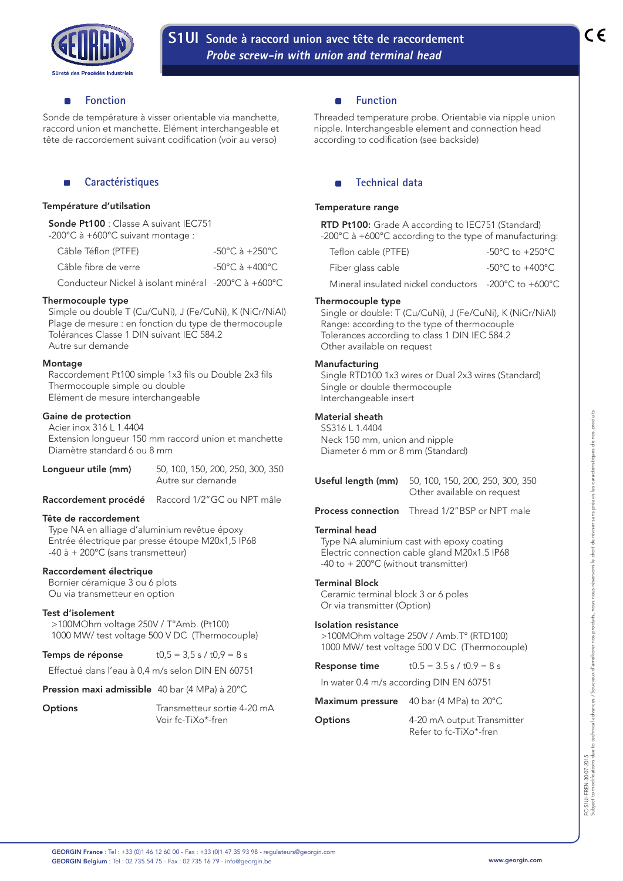

#### **Fonction** п

Sonde de température à visser orientable via manchette, raccord union et manchette. Elément interchangeable et tête de raccordement suivant codification (voir au verso)

# **Caractéristiques**

## Température d'utilsation

Sonde Pt100 : Classe A suivant IEC751 -200°C à +600°C suivant montage :

| Câble Téflon (PTFE)                                 | $-50^{\circ}$ C à $+250^{\circ}$ C |
|-----------------------------------------------------|------------------------------------|
| Câble fibre de verre                                | $-50^{\circ}$ C à $+400^{\circ}$ C |
| Conducteur Nickel à isolant minéral -200°C à +600°C |                                    |

## Thermocouple type

Simple ou double T (Cu/CuNi), J (Fe/CuNi), K (NiCr/NiAl) Plage de mesure : en fonction du type de thermocouple Tolérances Classe 1 DIN suivant IEC 584.2 Autre sur demande

#### **Montage**

Raccordement Pt100 simple 1x3 fils ou Double 2x3 fils Thermocouple simple ou double Elément de mesure interchangeable

## Gaine de protection

Acier inox 316 L 1.4404 Extension longueur 150 mm raccord union et manchette Diamètre standard 6 ou 8 mm

| Longueur utile (mm) | 50, 100, 150, 200, 250, 300, 350<br>Autre sur demande |
|---------------------|-------------------------------------------------------|
|                     | Raccordement procédé Raccord 1/2"GC ou NPT mâle       |

# Tête de raccordement

Type NA en alliage d'aluminium revêtue époxy Entrée électrique par presse étoupe M20x1,5 IP68 -40 à + 200°C (sans transmetteur)

#### Raccordement électrique

Bornier céramique 3 ou 6 plots Ou via transmetteur en option

#### Test d'isolement

>100MOhm voltage 250V / T°Amb. (Pt100) 1000 MW/ test voltage 500 V DC (Thermocouple)

| Temps de réponse | $t0,5 = 3,5 s / t0,9 = 8 s$ |
|------------------|-----------------------------|
|------------------|-----------------------------|

Effectué dans l'eau à 0,4 m/s selon DIN EN 60751

#### Pression maxi admissible 40 bar (4 MPa) à 20°C

| Options | Transmetteur sortie 4-20 mA |
|---------|-----------------------------|
|         | Voir fc-TiXo*-fren          |

## **Function**

Threaded temperature probe. Orientable via nipple union nipple. Interchangeable element and connection head according to codification (see backside)

# **Technical data**

## Temperature range

RTD Pt100: Grade A according to IEC751 (Standard) -200°C à +600°C according to the type of manufacturing:

| Teflon cable (PTFE)                                  | -50°C to +250°C. |
|------------------------------------------------------|------------------|
| Fiber glass cable                                    | -50°C to +400°C. |
| Mineral insulated nickel conductors -200°C to +600°C |                  |

## Thermocouple type

Single or double: T (Cu/CuNi), J (Fe/CuNi), K (NiCr/NiAl) Range: according to the type of thermocouple Tolerances according to class 1 DIN IEC 584.2 Other available on request

## **Manufacturing**

Single RTD100 1x3 wires or Dual 2x3 wires (Standard) Single or double thermocouple Interchangeable insert

# Material sheath

SS316 L 1.4404 Neck 150 mm, union and nipple Diameter 6 mm or 8 mm (Standard)

| <b>Useful length (mm)</b> 50, 100, 150, 200, 250, 300, 350<br>Other available on request |
|------------------------------------------------------------------------------------------|
| $\cdots$                                                                                 |

Process connection Thread 1/2"BSP or NPT male

## Terminal head

Type NA aluminium cast with epoxy coating Electric connection cable gland M20x1.5 IP68 -40 to + 200°C (without transmitter)

## Terminal Block

Ceramic terminal block 3 or 6 poles Or via transmitter (Option)

#### Isolation resistance

>100MOhm voltage 250V / Amb.T° (RTD100) 1000 MW/ test voltage 500 V DC (Thermocouple)

In water 0.4 m/s according DIN EN 60751

| Maximum pressure 40 bar (4 MPa) to 20°C |  |  |
|-----------------------------------------|--|--|
|                                         |  |  |

**Options** 4-20 mA output Transmitter Refer to fc-TiXo\*-fren